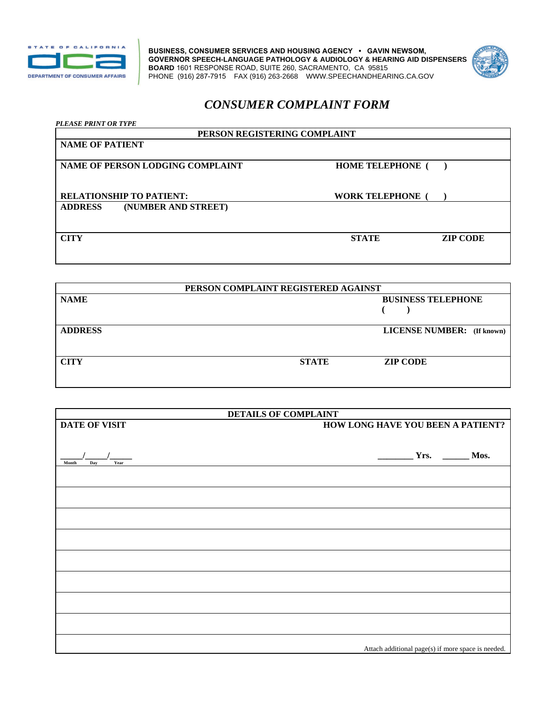

**BUSINESS, CONSUMER SERVICES AND HOUSING AGENCY • GAVIN NEWSOM, GOVERNOR SPEECH-LANGUAGE PATHOLOGY & AUDIOLOGY & HEARING AID DISPENSERS BOARD** 1601 RESPONSE ROAD, SUITE 260, SACRAMENTO, CA 95815 PHONE (916) 287-7915 FAX (916) 263-2668 <WWW.SPEECHANDHEARING.CA.GOV>



## *CONSUMER COMPLAINT FORM*

| <b>PLEASE PRINT OR TYPE</b><br>PERSON REGISTERING COMPLAINT |                         |                 |  |  |
|-------------------------------------------------------------|-------------------------|-----------------|--|--|
|                                                             |                         |                 |  |  |
|                                                             |                         |                 |  |  |
| NAME OF PERSON LODGING COMPLAINT                            | <b>HOME TELEPHONE</b> ( |                 |  |  |
|                                                             |                         |                 |  |  |
| <b>RELATIONSHIP TO PATIENT:</b>                             | <b>WORK TELEPHONE</b> ( |                 |  |  |
| <b>ADDRESS</b><br>(NUMBER AND STREET)                       |                         |                 |  |  |
|                                                             |                         |                 |  |  |
|                                                             |                         |                 |  |  |
| <b>CITY</b>                                                 | <b>STATE</b>            | <b>ZIP CODE</b> |  |  |
|                                                             |                         |                 |  |  |

| PERSON COMPLAINT REGISTERED AGAINST |                           |                                   |  |  |
|-------------------------------------|---------------------------|-----------------------------------|--|--|
| <b>NAME</b>                         | <b>BUSINESS TELEPHONE</b> |                                   |  |  |
|                                     |                           |                                   |  |  |
| <b>ADDRESS</b>                      |                           | <b>LICENSE NUMBER:</b> (If known) |  |  |
| <b>CITY</b>                         | <b>STATE</b>              | <b>ZIP CODE</b>                   |  |  |

| <b>DETAILS OF COMPLAINT</b> |                                                    |  |
|-----------------------------|----------------------------------------------------|--|
| <b>DATE OF VISIT</b>        | HOW LONG HAVE YOU BEEN A PATIENT?                  |  |
|                             |                                                    |  |
|                             |                                                    |  |
| Year<br>Month               | $Yrs.$ Mos.                                        |  |
| Day                         |                                                    |  |
|                             |                                                    |  |
|                             |                                                    |  |
|                             |                                                    |  |
|                             |                                                    |  |
|                             |                                                    |  |
|                             |                                                    |  |
|                             |                                                    |  |
|                             |                                                    |  |
|                             |                                                    |  |
|                             |                                                    |  |
|                             |                                                    |  |
|                             |                                                    |  |
|                             |                                                    |  |
|                             |                                                    |  |
|                             |                                                    |  |
|                             | Attach additional page(s) if more space is needed. |  |
|                             |                                                    |  |